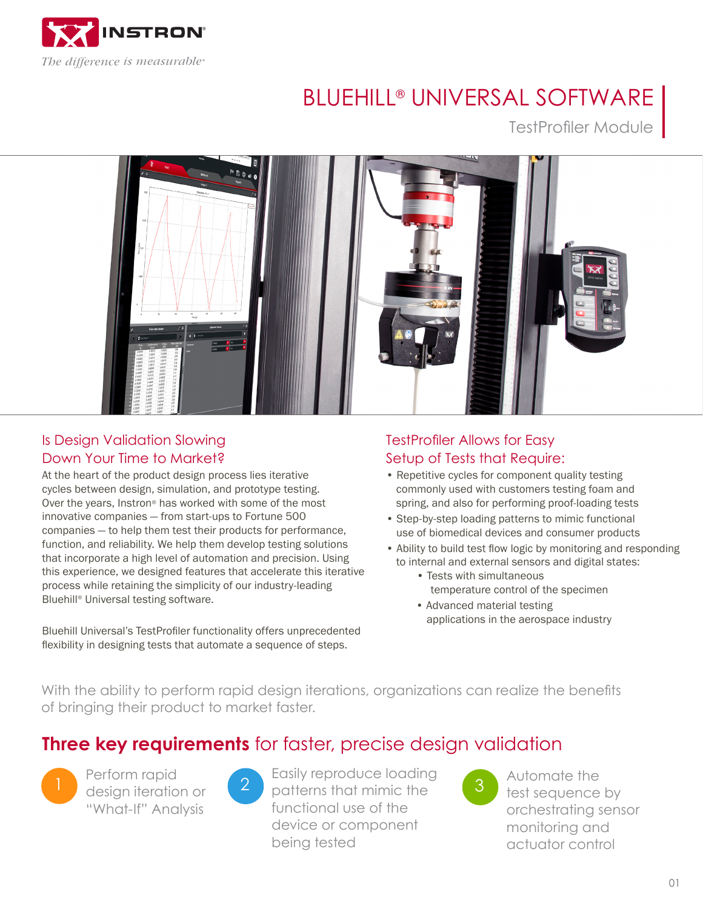

# BLUEHILL® UNIVERSAL SOFTWARE

TestProfiler Module



## Is Design Validation Slowing Down Your Time to Market?

At the heart of the product design process lies iterative cycles between design, simulation, and prototype testing. Over the years, Instron® has worked with some of the most innovative companies — from start-ups to Fortune 500 companies — to help them test their products for performance, function, and reliability. We help them develop testing solutions that incorporate a high level of automation and precision. Using this experience, we designed features that accelerate this iterative process while retaining the simplicity of our industry-leading Bluehill® Universal testing software.

Bluehill Universal's TestProfiler functionality offers unprecedented flexibility in designing tests that automate a sequence of steps.

### TestProfiler Allows for Easy Setup of Tests that Require:

- Repetitive cycles for component quality testing commonly used with customers testing foam and spring, and also for performing proof-loading tests
- Step-by-step loading patterns to mimic functional use of biomedical devices and consumer products
- Ability to build test flow logic by monitoring and responding to internal and external sensors and digital states:
	- Tests with simultaneous temperature control of the specimen
	- Advanced material testing applications in the aerospace industry

With the ability to perform rapid design iterations, organizations can realize the benefits of bringing their product to market faster.

# **Three key requirements** for faster, precise design validation



Perform rapid design iteration or "What-If" Analysis

1 design iteration or 2 patterns that mimic the 3 Easily reproduce loading functional use of the device or component being tested



Automate the test sequence by orchestrating sensor monitoring and actuator control